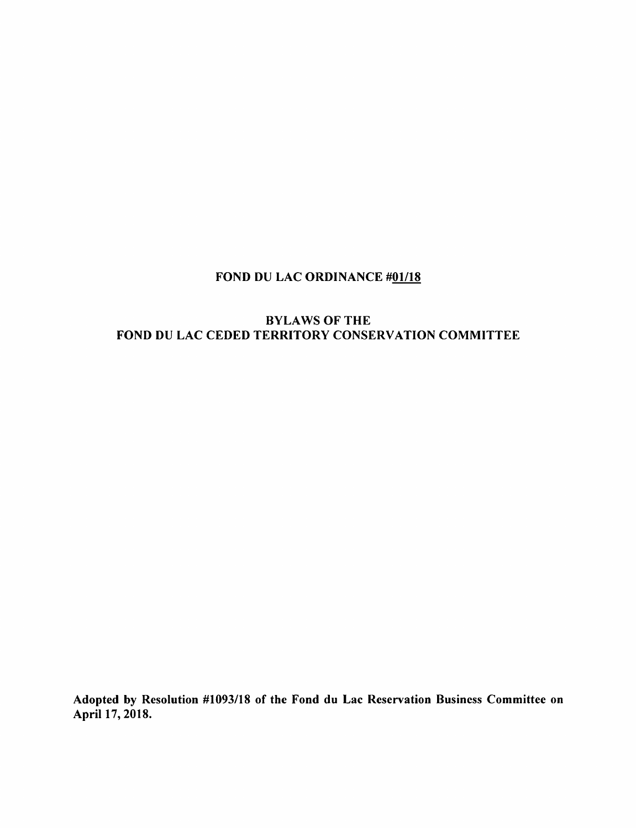### FOND DU LAC ORDINANCE #01/18

#### BYLAWS OF THE FOND DU LAC CEDED TERRITORY CONSERVATION COMMITTEE

Adopted by Resolution #1093/18 of the Fond du Lac Reservation Business Committee on April 17, 2018.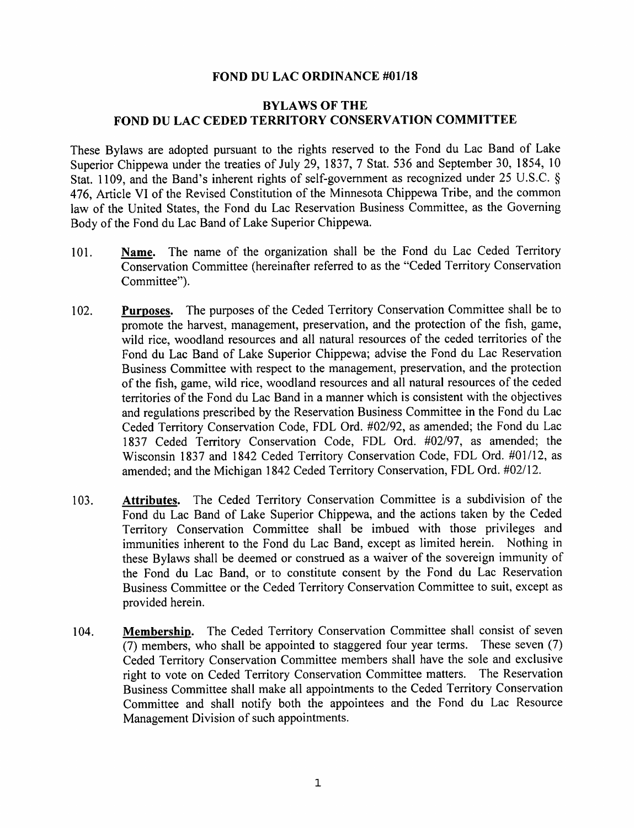#### FOND DU LAC ORDINANCE #01/18

#### BYLAWS OF THE FOND DU LAC CEDED TERRITORY CONSERVATION COMMITTEE

These Bylaws are adopted pursuant to the rights reserved to the Fond du Lac Band of Lake Superior Chippewa under the treaties of July 29, 1837, 7 Stat. 536 and September 30, 1854, 10 Stat. 1109, and the Band's inherent rights of self-government as recognized under 25 U.S.C. § 476, Article VI of the Revised Constitution of the Minnesota Chippewa Tribe, and the common law of the United States, the Fond du Lac Reservation Business Committee, as the Governing Body of the Fond du Lac Band of Lake Superior Chippewa.

- 101. Name. The name of the organization shall be the Fond du Lac Ceded Territory Conservation Committee (hereinafter referred to as the "Ceded Territory Conservation Committee").
- 102. Purposes. The purposes of the Ceded Territory Conservation Committee shall be to promote the harvest, management, preservation, and the protection of the fish, game, wild rice, woodland resources and all natural resources of the ceded territories of the Fond du Lac Band of Lake Superior Chippewa; advise the Fond du Lac Reservation Business Committee with respect to the management, preservation, and the protection of the fish, game, wild rice, woodland resources and all natural resources of the ceded territories of the Fond du Lac Band in a manner which is consistent with the objectives and regulations prescribed by the Reservation Business Committee in the Fond du Lac Ceded Territory Conservation Code, FDL Ord. #02/92, as amended; the Fond du Lac 1837 Ceded Territory Conservation Code, FDL Ord. #02/97, as amended; the Wisconsin 1837 and 1842 Ceded Territory Conservation Code, FDL Ord. #01/12, as amended; and the Michigan 1842 Ceded Territory Conservation, FDL Ord. #02/12.
- 103. Attributes. The Ceded Territory Conservation Committee is a subdivision of the Fond du Lac Band of Lake Superior Chippewa, and the actions taken by the Ceded Territory Conservation Committee shall be imbued with those privileges and immunities inherent to the Fond du Lac Band, except as limited herein. Nothing in these Bylaws shall be deemed or construed as a waiver of the sovereign immunity of the Fond du Lac Band, or to constitute consent by the Fond du Lac Reservation Business Committee or the Ceded Territory Conservation Committee to suit, except as provided herein.
- 104. Membership. The Ceded Territory Conservation Committee shall consist of seven (7) members, who shall be appointed to staggered four year terms. These seven (7) Ceded Territory Conservation Committee members shall have the sole and exclusive right to vote on Ceded Territory Conservation Committee matters. The Reservation Business Committee shall make all appointments to the Ceded Territory Conservation Committee and shall notify both the appointees and the Fond du Lac Resource Management Division of such appointments.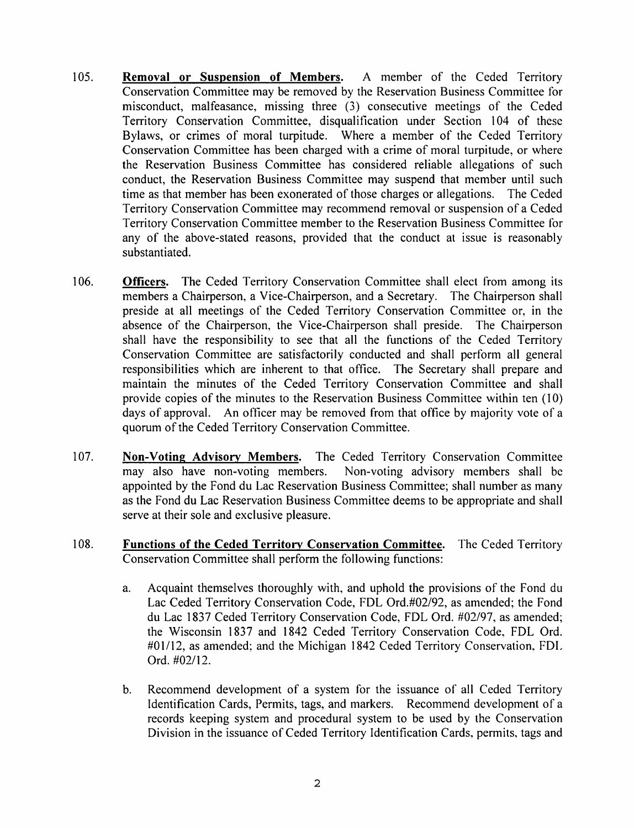- 105. Removal or Suspension of Members. A member of the Ceded Territory Conservation Committee may be removed by the Reservation Business Committee for misconduct, malfeasance, missing three (3) consecutive meetings of the Ceded Territory Conservation Committee, disqualification under Section 104 of these Bylaws, or crimes of moral turpitude. Where a member of the Ceded Territory Conservation Committee has been charged with a crime of moral turpitude, or where the Reservation Business Committee has considered reliable allegations of such conduct, the Reservation Business Committee may suspend that member until such time as that member has been exonerated of those charges or allegations. The Ceded Territory Conservation Committee may recommend removal or suspension of a Ceded Territory Conservation Committee member to the Reservation Business Committee for any of the above-stated reasons, provided that the conduct at issue is reasonably substantiated.
- 106. **Officers.** The Ceded Territory Conservation Committee shall elect from among its members a Chairperson, a Vice-Chairperson, and a Secretary. The Chairperson shall preside at all meetings of the Ceded Territory Conservation Committee or, in the absence of the Chairperson, the Vice-Chairperson shall preside. The Chairperson shall have the responsibility to see that all the functions of the Ceded Territory Conservation Committee are satisfactorily conducted and shall perform all general responsibilities which are inherent to that office. The Secretary shall prepare and maintain the minutes of the Ceded Territory Conservation Committee and shall provide copies of the minutes to the Reservation Business Committee within ten (10) days of approval. An officer may be removed from that office by majority vote of a quorum of the Ceded Territory Conservation Committee.
- 107. Non-Voting Advisory Members. The Ceded Territory Conservation Committee may also have non-voting members. Non-voting advisory members shall be appointed by the Fond du Lac Reservation Business Committee; shall number as many as the Fond du Lac Reservation Business Committee deems to be appropriate and shall serve at their sole and exclusive pleasure.
- 108. Functions of the Ceded Territory Conservation Committee. The Ceded Territory Conservation Committee shall perform the following functions:
	- a. Acquaint themselves thoroughly with, and uphold the provisions of the Fond du Lac Ceded Territory Conservation Code, FDL Ord.#02/92, as amended; the Fond du Lac 1837 Ceded Territory Conservation Code, FDL Ord. #02/97, as amended; the Wisconsin 1837 and 1842 Ceded Territory Conservation Code, FDL Ord. #01/12, as amended; and the Michigan 1842 Ceded Territory Conservation, FDL Ord. #02/12.
	- b. Recommend development of a system for the issuance of all Ceded Territory Identification Cards, Permits, tags, and markers. Recommend development of a records keeping system and procedural system to be used by the Conservation Division in the issuance of Ceded Territory Identification Cards, permits, tags and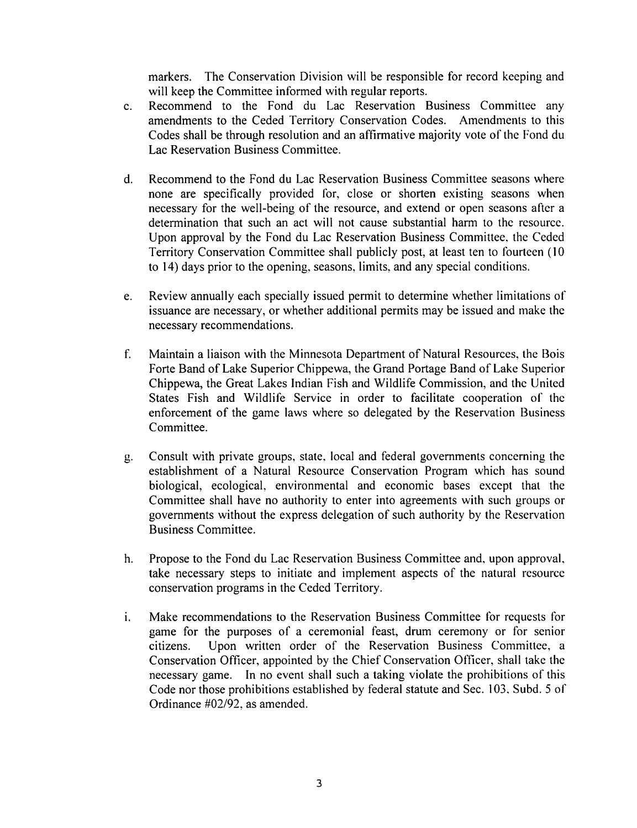markers. The Conservation Division will be responsible for record keeping and will keep the Committee informed with regular reports.

- c. Recommend to the Fond du Lac Reservation Business Committee any amendments to the Ceded Territory Conservation Codes. Amendments to this Codes shall be through resolution and an affirmative majority vote of the Fond du Lac Reservation Business Committee.
- d. Recommend to the Fond du Lac Reservation Business Committee seasons where none are specifically provided for, close or shorten existing seasons when necessary for the well-being of the resource, and extend or open seasons after a determination that such an act will not cause substantial harm to the resource. Upon approval by the Fond du Lac Reservation Business Committee, the Ceded Territory Conservation Committee shall publicly post, at least ten to fourteen (10 to 14) days prior to the opening, seasons, limits, and any special conditions.
- e. Review annually each specially issued permit to determine whether limitations of issuance are necessary, or whether additional permits may be issued and make the necessary recommendations.
- f. Maintain a liaison with the Minnesota Department of Natural Resources, the Bois Forte Band of Lake Superior Chippewa, the Grand Portage Band of Lake Superior Chippewa, the Great Lakes Indian Fish and Wildlife Commission, and the United States Fish and Wildlife Service in order to facilitate cooperation of the enforcement of the game laws where so delegated by the Reservation Business Committee.
- g. Consult with private groups, state, local and federal governments concerning the establishment of a Natural Resource Conservation Program which has sound biological, ecological, environmental and economic bases except that the Committee shall have no authority to enter into agreements with such groups or governments without the express delegation of such authority by the Reservation Business Committee.
- h. Propose to the Fond du Lac Reservation Business Committee and, upon approval, take necessary steps to initiate and implement aspects of the natural resource conservation programs in the Ceded Territory.
- i. Make recommendations to the Reservation Business Committee for requests for game for the purposes of a ceremonial feast, drum ceremony or for senior citizens. Upon written order of the Reservation Business Committee, a Conservation Officer, appointed by the Chief Conservation Officer, shall take the necessary game. In no event shall such a taking violate the prohibitions of this Code nor those prohibitions established by federal statute and Sec. 103, Subd. 5 of Ordinance #02/92, as amended.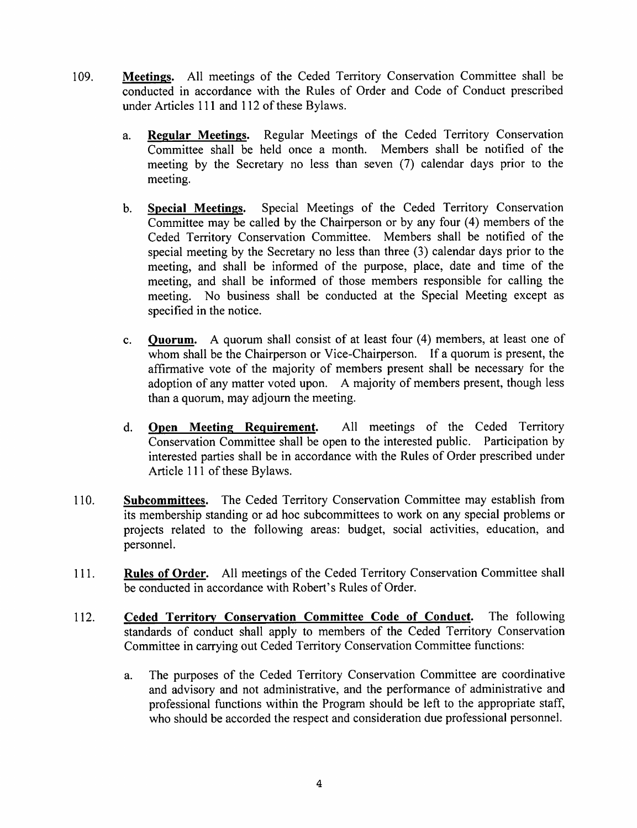- 109. Meetings. All meetings of the Ceded Territory Conservation Committee shall be conducted in accordance with the Rules of Order and Code of Conduct prescribed under Articles 111 and 112 of these Bylaws.
	- a. Regular Meetings. Regular Meetings of the Ceded Territory Conservation Committee shall be held once a month. Members shall be notified of the meeting by the Secretary no less than seven (7) calendar days prior to the meeting.
	- b. Special Meetings. Special Meetings of the Ceded Territory Conservation Committee may be called by the Chairperson or by any four (4) members of the Ceded Territory Conservation Committee. Members shall be notified of the special meeting by the Secretary no less than three (3) calendar days prior to the meeting, and shall be informed of the purpose, place, date and time of the meeting, and shall be informed of those members responsible for calling the meeting. No business shall be conducted at the Special Meeting except as specified in the notice.
	- c. Quorum. A quorum shall consist of at least four (4) members, at least one of whom shall be the Chairperson or Vice-Chairperson. If a quorum is present, the affirmative vote of the majority of members present shall be necessary for the adoption of any matter voted upon. A majority of members present, though less than a quorum, may adjourn the meeting.
	- d. Open Meeting Requirement. All meetings of the Ceded Territory Conservation Committee shall be open to the interested public. Participation by interested parties shall be in accordance with the Rules of Order prescribed under Article 111 of these Bylaws.
- 110. Subcommittees. The Ceded Territory Conservation Committee may establish from its membership standing or ad hoc subcommittees to work on any special problems or projects related to the following areas: budget, social activities, education, and personnel.
- 111. Rules of Order. All meetings of the Ceded Territory Conservation Committee shall be conducted in accordance with Robert's Rules of Order.
- 112. Ceded Territory Conservation Committee Code of Conduct. The following standards of conduct shall apply to members of the Ceded Territory Conservation Committee in carrying out Ceded Territory Conservation Committee functions:
	- a. The purposes of the Ceded Territory Conservation Committee are coordinative and advisory and not administrative, and the performance of administrative and professional functions within the Program should be left to the appropriate staff, who should be accorded the respect and consideration due professional personnel.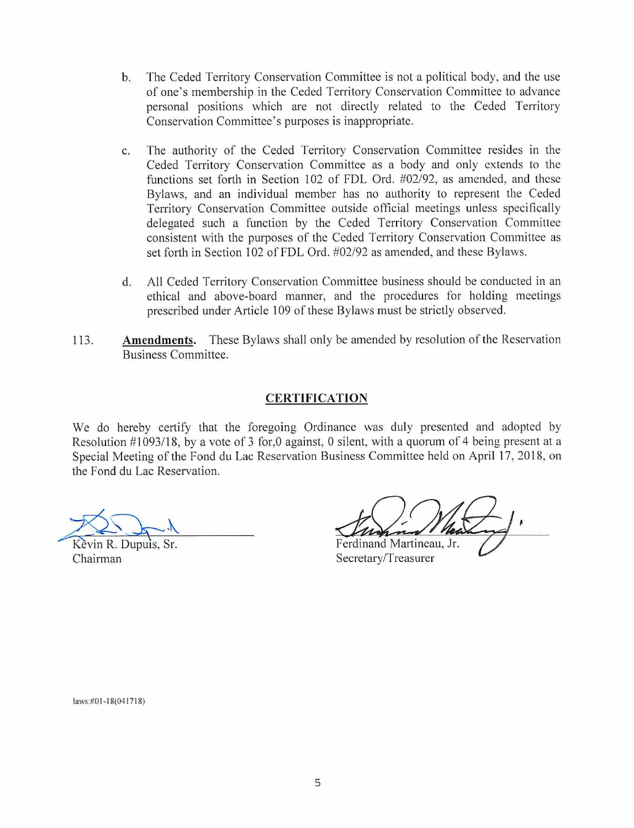- b. The Ceded Territory Conservation Committee is not a political body, and the use of one's membership in the Ceded Territory Conservation Committee to advance personal positions which are not directly related to the Ceded Territory Conservation Committee's purposes is inappropriate.
- c. The authority of the Ceded Territory Conservation Committee resides in the Ceded Territory Conservation Committee as a body and only extends to the functions set forth in Section 102 of FDL Ord. #02/92, as amended, and these Bylaws, and an individual member has no authority to represent the Ceded Temtory Conservation Committee outside official meetings unless specifically delegated such a function by the Ceded Territory Conservation Committee consistent with the purposes of the Ceded Territory Conservation Committee as set forth in Section 102 of FDL Ord. #02/92 as amended, and these Bylaws.
- d. All Ceded Territory Conservation Committee business should be conducted in an ethical and above-board manner, and the procedures for holding meetings prescribed under Article 109 of these Bylaws must be strictly observed.
- 113. Amendments. These Bylaws shall only be amended by resolution of the Reservation Business Committee.

#### CERTIFICATION

We do hereby certify that the foregoing Ordinance was duly presented and adopted by Resolution #1093/18, by a vote of 3 for,0 against, 0 silent, with a quorum of 4 being present at a Special Meeting of the Fond du Lac Reservation Business Committee held on April 17, 2018, on the Fond du Lac Reservation.

Kevin R. Dupuis, Sr. Ferdinand Martineau, Jr. Chairman Secretary/Treasurer

[aws:#0l-18(041718)